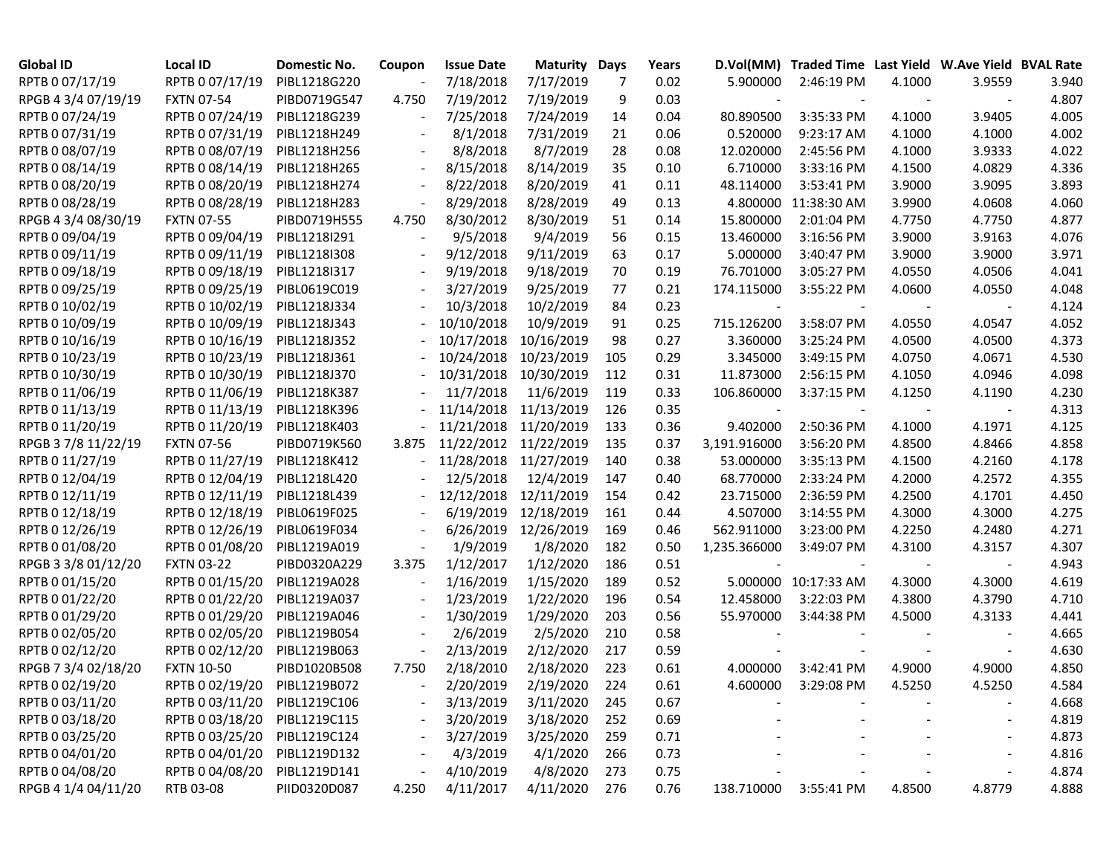| <b>Global ID</b>    | Local ID                     | Domestic No. | Coupon                   | <b>Issue Date</b>     | Maturity              | Days | Years |              | D.Vol(MM) Traded Time Last Yield W.Ave Yield BVAL Rate |        |        |       |
|---------------------|------------------------------|--------------|--------------------------|-----------------------|-----------------------|------|-------|--------------|--------------------------------------------------------|--------|--------|-------|
| RPTB 0 07/17/19     | RPTB 0 07/17/19              | PIBL1218G220 |                          | 7/18/2018             | 7/17/2019             | 7    | 0.02  | 5.900000     | 2:46:19 PM                                             | 4.1000 | 3.9559 | 3.940 |
| RPGB 4 3/4 07/19/19 | <b>FXTN 07-54</b>            | PIBD0719G547 | 4.750                    | 7/19/2012             | 7/19/2019             | 9    | 0.03  |              |                                                        |        |        | 4.807 |
| RPTB 0 07/24/19     | RPTB 0 07/24/19              | PIBL1218G239 |                          | 7/25/2018             | 7/24/2019             | 14   | 0.04  | 80.890500    | 3:35:33 PM                                             | 4.1000 | 3.9405 | 4.005 |
| RPTB 0 07/31/19     | RPTB 0 07/31/19              | PIBL1218H249 |                          | 8/1/2018              | 7/31/2019             | 21   | 0.06  | 0.520000     | 9:23:17 AM                                             | 4.1000 | 4.1000 | 4.002 |
| RPTB 0 08/07/19     | RPTB 0 08/07/19              | PIBL1218H256 |                          | 8/8/2018              | 8/7/2019              | 28   | 0.08  | 12.020000    | 2:45:56 PM                                             | 4.1000 | 3.9333 | 4.022 |
| RPTB 0 08/14/19     | RPTB 0 08/14/19              | PIBL1218H265 | $\overline{\phantom{a}}$ | 8/15/2018             | 8/14/2019             | 35   | 0.10  | 6.710000     | 3:33:16 PM                                             | 4.1500 | 4.0829 | 4.336 |
| RPTB 0 08/20/19     | RPTB 0 08/20/19              | PIBL1218H274 | $\overline{\phantom{a}}$ | 8/22/2018             | 8/20/2019             | 41   | 0.11  | 48.114000    | 3:53:41 PM                                             | 3.9000 | 3.9095 | 3.893 |
| RPTB 0 08/28/19     | RPTB 0 08/28/19              | PIBL1218H283 | $\overline{\phantom{m}}$ | 8/29/2018             | 8/28/2019             | 49   | 0.13  | 4.800000     | 11:38:30 AM                                            | 3.9900 | 4.0608 | 4.060 |
| RPGB 4 3/4 08/30/19 | <b>FXTN 07-55</b>            | PIBD0719H555 | 4.750                    | 8/30/2012             | 8/30/2019             | 51   | 0.14  | 15.800000    | 2:01:04 PM                                             | 4.7750 | 4.7750 | 4.877 |
| RPTB 0 09/04/19     | RPTB 0 09/04/19              | PIBL1218I291 | $\overline{\phantom{a}}$ | 9/5/2018              | 9/4/2019              | 56   | 0.15  | 13.460000    | 3:16:56 PM                                             | 3.9000 | 3.9163 | 4.076 |
| RPTB 0 09/11/19     | RPTB 0 09/11/19              | PIBL1218I308 | $\overline{\phantom{a}}$ | 9/12/2018             | 9/11/2019             | 63   | 0.17  | 5.000000     | 3:40:47 PM                                             | 3.9000 | 3.9000 | 3.971 |
| RPTB 0 09/18/19     | RPTB 0 09/18/19              | PIBL1218I317 |                          | 9/19/2018             | 9/18/2019             | 70   | 0.19  | 76.701000    | 3:05:27 PM                                             | 4.0550 | 4.0506 | 4.041 |
| RPTB 0 09/25/19     | RPTB 0 09/25/19              | PIBL0619C019 |                          | 3/27/2019             | 9/25/2019             | 77   | 0.21  | 174.115000   | 3:55:22 PM                                             | 4.0600 | 4.0550 | 4.048 |
| RPTB 0 10/02/19     | RPTB 0 10/02/19              | PIBL1218J334 |                          | 10/3/2018             | 10/2/2019             | 84   | 0.23  |              |                                                        |        |        | 4.124 |
| RPTB 0 10/09/19     | RPTB 0 10/09/19              | PIBL1218J343 |                          | 10/10/2018            | 10/9/2019             | 91   | 0.25  | 715.126200   | 3:58:07 PM                                             | 4.0550 | 4.0547 | 4.052 |
| RPTB 0 10/16/19     | RPTB 0 10/16/19              | PIBL1218J352 |                          | 10/17/2018            | 10/16/2019            | 98   | 0.27  | 3.360000     | 3:25:24 PM                                             | 4.0500 | 4.0500 | 4.373 |
| RPTB 0 10/23/19     | RPTB 0 10/23/19              | PIBL1218J361 |                          | 10/24/2018            | 10/23/2019            | 105  | 0.29  | 3.345000     | 3:49:15 PM                                             | 4.0750 | 4.0671 | 4.530 |
| RPTB 0 10/30/19     | RPTB 0 10/30/19              | PIBL1218J370 |                          | 10/31/2018            | 10/30/2019            | 112  | 0.31  | 11.873000    | 2:56:15 PM                                             | 4.1050 | 4.0946 | 4.098 |
| RPTB 0 11/06/19     | RPTB 0 11/06/19              | PIBL1218K387 | $\overline{\phantom{a}}$ | 11/7/2018             | 11/6/2019             | 119  | 0.33  | 106.860000   | 3:37:15 PM                                             | 4.1250 | 4.1190 | 4.230 |
| RPTB 0 11/13/19     | RPTB 0 11/13/19              | PIBL1218K396 |                          | 11/14/2018 11/13/2019 |                       | 126  | 0.35  |              |                                                        |        |        | 4.313 |
| RPTB 0 11/20/19     | RPTB 0 11/20/19              | PIBL1218K403 |                          | 11/21/2018 11/20/2019 |                       | 133  | 0.36  | 9.402000     | 2:50:36 PM                                             | 4.1000 | 4.1971 | 4.125 |
| RPGB 37/8 11/22/19  | <b>FXTN 07-56</b>            | PIBD0719K560 | 3.875                    | 11/22/2012 11/22/2019 |                       | 135  | 0.37  | 3,191.916000 | 3:56:20 PM                                             | 4.8500 | 4.8466 | 4.858 |
| RPTB 0 11/27/19     | RPTB 0 11/27/19              | PIBL1218K412 |                          |                       | 11/28/2018 11/27/2019 | 140  | 0.38  | 53.000000    | 3:35:13 PM                                             | 4.1500 | 4.2160 | 4.178 |
| RPTB 0 12/04/19     | RPTB 0 12/04/19              | PIBL1218L420 |                          | 12/5/2018             | 12/4/2019             | 147  | 0.40  | 68.770000    | 2:33:24 PM                                             | 4.2000 | 4.2572 | 4.355 |
| RPTB 0 12/11/19     | RPTB 0 12/11/19              | PIBL1218L439 |                          | 12/12/2018            | 12/11/2019            | 154  | 0.42  | 23.715000    | 2:36:59 PM                                             | 4.2500 | 4.1701 | 4.450 |
| RPTB 0 12/18/19     | RPTB 0 12/18/19              | PIBL0619F025 |                          | 6/19/2019             | 12/18/2019            | 161  | 0.44  | 4.507000     | 3:14:55 PM                                             | 4.3000 | 4.3000 | 4.275 |
| RPTB 0 12/26/19     | RPTB 0 12/26/19              | PIBL0619F034 |                          | 6/26/2019             | 12/26/2019            | 169  | 0.46  | 562.911000   | 3:23:00 PM                                             | 4.2250 | 4.2480 | 4.271 |
| RPTB 0 01/08/20     | RPTB 0 01/08/20              | PIBL1219A019 |                          | 1/9/2019              | 1/8/2020              | 182  | 0.50  | 1,235.366000 | 3:49:07 PM                                             | 4.3100 | 4.3157 | 4.307 |
| RPGB 3 3/8 01/12/20 | <b>FXTN 03-22</b>            | PIBD0320A229 | 3.375                    | 1/12/2017             | 1/12/2020             | 186  | 0.51  |              |                                                        |        |        | 4.943 |
| RPTB 0 01/15/20     | RPTB 0 01/15/20              | PIBL1219A028 | $\overline{\phantom{a}}$ | 1/16/2019             | 1/15/2020             | 189  | 0.52  | 5.000000     | 10:17:33 AM                                            | 4.3000 | 4.3000 | 4.619 |
| RPTB 0 01/22/20     | RPTB 0 01/22/20              | PIBL1219A037 | $\overline{\phantom{a}}$ | 1/23/2019             | 1/22/2020             | 196  | 0.54  | 12.458000    | 3:22:03 PM                                             | 4.3800 | 4.3790 | 4.710 |
| RPTB 0 01/29/20     | RPTB 0 01/29/20              | PIBL1219A046 | $\overline{\phantom{a}}$ | 1/30/2019             | 1/29/2020             | 203  | 0.56  | 55.970000    | 3:44:38 PM                                             | 4.5000 | 4.3133 | 4.441 |
| RPTB 0 02/05/20     | RPTB 0 02/05/20              | PIBL1219B054 | $\overline{\phantom{a}}$ | 2/6/2019              | 2/5/2020              | 210  | 0.58  |              |                                                        |        |        | 4.665 |
| RPTB 0 02/12/20     | RPTB 0 02/12/20              | PIBL1219B063 | $\overline{\phantom{a}}$ | 2/13/2019             | 2/12/2020             | 217  | 0.59  |              |                                                        |        |        | 4.630 |
| RPGB 7 3/4 02/18/20 | <b>FXTN 10-50</b>            | PIBD1020B508 | 7.750                    | 2/18/2010             | 2/18/2020             | 223  | 0.61  | 4.000000     | 3:42:41 PM                                             | 4.9000 | 4.9000 | 4.850 |
| RPTB 0 02/19/20     | RPTB 0 02/19/20 PIBL1219B072 |              |                          | 2/20/2019             | 2/19/2020             | 224  | 0.61  | 4.600000     | $3:29:08$ PM                                           | 4.5250 | 4.5250 | 4.584 |
| RPTB 0 03/11/20     | RPTB 0 03/11/20 PIBL1219C106 |              |                          | 3/13/2019             | 3/11/2020             | 245  | 0.67  |              |                                                        |        |        | 4.668 |
| RPTB 0 03/18/20     | RPTB 0 03/18/20 PIBL1219C115 |              |                          | 3/20/2019             | 3/18/2020             | 252  | 0.69  |              |                                                        |        |        | 4.819 |
| RPTB 0 03/25/20     | RPTB 0 03/25/20 PIBL1219C124 |              |                          | 3/27/2019             | 3/25/2020             | 259  | 0.71  |              |                                                        |        |        | 4.873 |
| RPTB 0 04/01/20     | RPTB 0 04/01/20 PIBL1219D132 |              |                          | 4/3/2019              | 4/1/2020              | 266  | 0.73  |              |                                                        |        |        | 4.816 |
| RPTB 0 04/08/20     | RPTB 0 04/08/20 PIBL1219D141 |              | $\overline{\phantom{a}}$ | 4/10/2019             | 4/8/2020              | 273  | 0.75  |              |                                                        |        |        | 4.874 |
| RPGB 4 1/4 04/11/20 | RTB 03-08                    | PIID0320D087 | 4.250                    | 4/11/2017             | 4/11/2020             | 276  | 0.76  | 138.710000   | 3:55:41 PM                                             | 4.8500 | 4.8779 | 4.888 |
|                     |                              |              |                          |                       |                       |      |       |              |                                                        |        |        |       |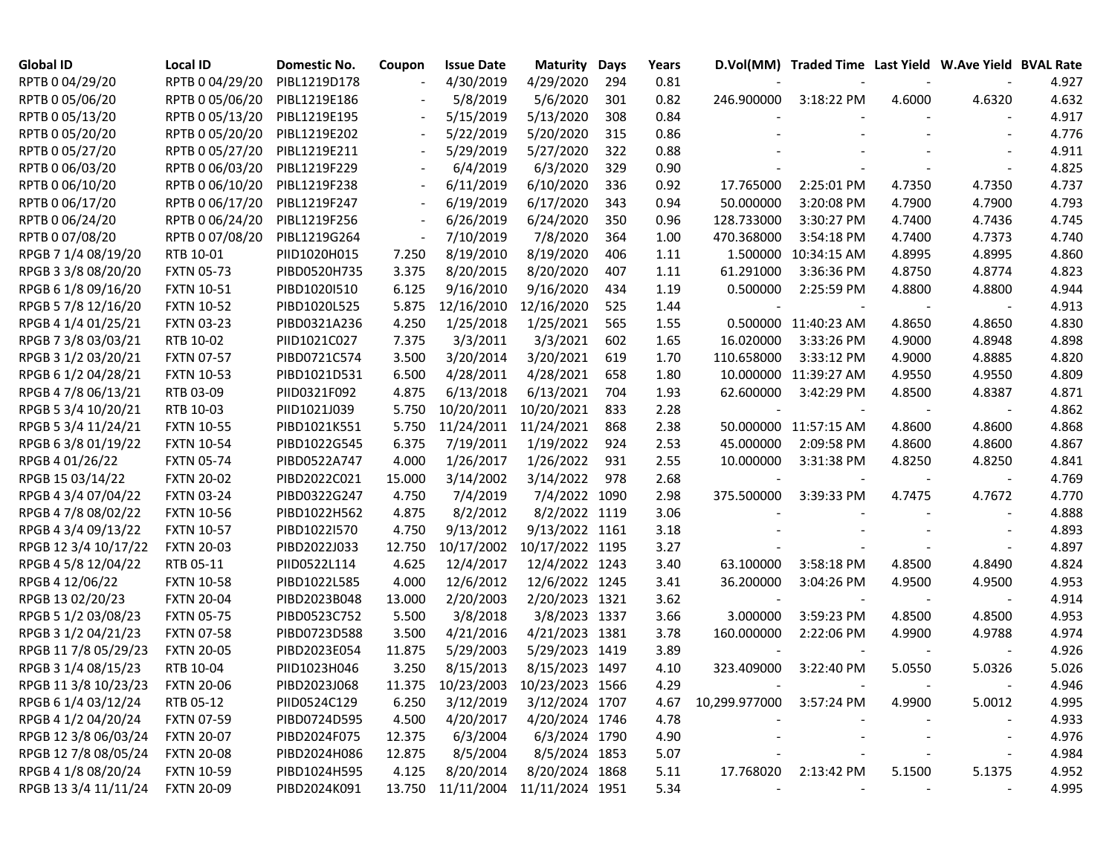| <b>Global ID</b>     | <b>Local ID</b>   | Domestic No. | Coupon                   | <b>Issue Date</b>                 | <b>Maturity</b> | Days | Years |                          | D.Vol(MM) Traded Time Last Yield W.Ave Yield BVAL Rate |        |                          |       |
|----------------------|-------------------|--------------|--------------------------|-----------------------------------|-----------------|------|-------|--------------------------|--------------------------------------------------------|--------|--------------------------|-------|
| RPTB 0 04/29/20      | RPTB 0 04/29/20   | PIBL1219D178 | $\overline{\phantom{a}}$ | 4/30/2019                         | 4/29/2020       | 294  | 0.81  |                          |                                                        |        |                          | 4.927 |
| RPTB 0 05/06/20      | RPTB 0 05/06/20   | PIBL1219E186 | $\overline{\phantom{a}}$ | 5/8/2019                          | 5/6/2020        | 301  | 0.82  | 246.900000               | 3:18:22 PM                                             | 4.6000 | 4.6320                   | 4.632 |
| RPTB 0 05/13/20      | RPTB 0 05/13/20   | PIBL1219E195 | $\overline{\phantom{a}}$ | 5/15/2019                         | 5/13/2020       | 308  | 0.84  |                          |                                                        |        |                          | 4.917 |
| RPTB 0 05/20/20      | RPTB 0 05/20/20   | PIBL1219E202 | $\overline{\phantom{a}}$ | 5/22/2019                         | 5/20/2020       | 315  | 0.86  |                          |                                                        |        |                          | 4.776 |
| RPTB 0 05/27/20      | RPTB 0 05/27/20   | PIBL1219E211 | $\overline{\phantom{a}}$ | 5/29/2019                         | 5/27/2020       | 322  | 0.88  |                          |                                                        |        |                          | 4.911 |
| RPTB 0 06/03/20      | RPTB 0 06/03/20   | PIBL1219F229 | $\overline{\phantom{a}}$ | 6/4/2019                          | 6/3/2020        | 329  | 0.90  |                          |                                                        |        |                          | 4.825 |
| RPTB 0 06/10/20      | RPTB 0 06/10/20   | PIBL1219F238 | $\overline{\phantom{a}}$ | 6/11/2019                         | 6/10/2020       | 336  | 0.92  | 17.765000                | 2:25:01 PM                                             | 4.7350 | 4.7350                   | 4.737 |
| RPTB 0 06/17/20      | RPTB 0 06/17/20   | PIBL1219F247 | $\overline{\phantom{a}}$ | 6/19/2019                         | 6/17/2020       | 343  | 0.94  | 50.000000                | 3:20:08 PM                                             | 4.7900 | 4.7900                   | 4.793 |
| RPTB 0 06/24/20      | RPTB 0 06/24/20   | PIBL1219F256 | $\overline{\phantom{a}}$ | 6/26/2019                         | 6/24/2020       | 350  | 0.96  | 128.733000               | 3:30:27 PM                                             | 4.7400 | 4.7436                   | 4.745 |
| RPTB 0 07/08/20      | RPTB 0 07/08/20   | PIBL1219G264 | $\overline{\phantom{a}}$ | 7/10/2019                         | 7/8/2020        | 364  | 1.00  | 470.368000               | 3:54:18 PM                                             | 4.7400 | 4.7373                   | 4.740 |
| RPGB 7 1/4 08/19/20  | RTB 10-01         | PIID1020H015 | 7.250                    | 8/19/2010                         | 8/19/2020       | 406  | 1.11  | 1.500000                 | 10:34:15 AM                                            | 4.8995 | 4.8995                   | 4.860 |
| RPGB 3 3/8 08/20/20  | <b>FXTN 05-73</b> | PIBD0520H735 | 3.375                    | 8/20/2015                         | 8/20/2020       | 407  | 1.11  | 61.291000                | 3:36:36 PM                                             | 4.8750 | 4.8774                   | 4.823 |
| RPGB 6 1/8 09/16/20  | <b>FXTN 10-51</b> | PIBD1020I510 | 6.125                    | 9/16/2010                         | 9/16/2020       | 434  | 1.19  | 0.500000                 | 2:25:59 PM                                             | 4.8800 | 4.8800                   | 4.944 |
| RPGB 5 7/8 12/16/20  | <b>FXTN 10-52</b> | PIBD1020L525 | 5.875                    | 12/16/2010                        | 12/16/2020      | 525  | 1.44  |                          |                                                        |        |                          | 4.913 |
| RPGB 4 1/4 01/25/21  | <b>FXTN 03-23</b> | PIBD0321A236 | 4.250                    | 1/25/2018                         | 1/25/2021       | 565  | 1.55  |                          | 0.500000 11:40:23 AM                                   | 4.8650 | 4.8650                   | 4.830 |
| RPGB 7 3/8 03/03/21  | RTB 10-02         | PIID1021C027 | 7.375                    | 3/3/2011                          | 3/3/2021        | 602  | 1.65  | 16.020000                | 3:33:26 PM                                             | 4.9000 | 4.8948                   | 4.898 |
| RPGB 3 1/2 03/20/21  | <b>FXTN 07-57</b> | PIBD0721C574 | 3.500                    | 3/20/2014                         | 3/20/2021       | 619  | 1.70  | 110.658000               | 3:33:12 PM                                             | 4.9000 | 4.8885                   | 4.820 |
| RPGB 6 1/2 04/28/21  | <b>FXTN 10-53</b> | PIBD1021D531 | 6.500                    | 4/28/2011                         | 4/28/2021       | 658  | 1.80  |                          | 10.000000 11:39:27 AM                                  | 4.9550 | 4.9550                   | 4.809 |
| RPGB 4 7/8 06/13/21  | RTB 03-09         | PIID0321F092 | 4.875                    | 6/13/2018                         | 6/13/2021       | 704  | 1.93  | 62.600000                | 3:42:29 PM                                             | 4.8500 | 4.8387                   | 4.871 |
| RPGB 5 3/4 10/20/21  | RTB 10-03         | PIID1021J039 | 5.750                    | 10/20/2011                        | 10/20/2021      | 833  | 2.28  |                          |                                                        |        |                          | 4.862 |
| RPGB 5 3/4 11/24/21  | <b>FXTN 10-55</b> | PIBD1021K551 | 5.750                    | 11/24/2011                        | 11/24/2021      | 868  | 2.38  |                          | 50.000000 11:57:15 AM                                  | 4.8600 | 4.8600                   | 4.868 |
| RPGB 63/8 01/19/22   | <b>FXTN 10-54</b> | PIBD1022G545 | 6.375                    | 7/19/2011                         | 1/19/2022       | 924  | 2.53  | 45.000000                | 2:09:58 PM                                             | 4.8600 | 4.8600                   | 4.867 |
| RPGB 4 01/26/22      | <b>FXTN 05-74</b> | PIBD0522A747 | 4.000                    | 1/26/2017                         | 1/26/2022       | 931  | 2.55  | 10.000000                | 3:31:38 PM                                             | 4.8250 | 4.8250                   | 4.841 |
| RPGB 15 03/14/22     | <b>FXTN 20-02</b> | PIBD2022C021 | 15.000                   | 3/14/2002                         | 3/14/2022       | 978  | 2.68  |                          |                                                        |        |                          | 4.769 |
| RPGB 4 3/4 07/04/22  | <b>FXTN 03-24</b> | PIBD0322G247 | 4.750                    | 7/4/2019                          | 7/4/2022        | 1090 | 2.98  | 375.500000               | 3:39:33 PM                                             | 4.7475 | 4.7672                   | 4.770 |
| RPGB 4 7/8 08/02/22  | <b>FXTN 10-56</b> | PIBD1022H562 | 4.875                    | 8/2/2012                          | 8/2/2022 1119   |      | 3.06  |                          |                                                        |        |                          | 4.888 |
| RPGB 4 3/4 09/13/22  | <b>FXTN 10-57</b> | PIBD1022I570 | 4.750                    | 9/13/2012                         | 9/13/2022       | 1161 | 3.18  |                          |                                                        |        |                          | 4.893 |
| RPGB 12 3/4 10/17/22 | <b>FXTN 20-03</b> | PIBD2022J033 | 12.750                   | 10/17/2002                        | 10/17/2022 1195 |      | 3.27  |                          |                                                        |        |                          | 4.897 |
| RPGB 4 5/8 12/04/22  | RTB 05-11         | PIID0522L114 | 4.625                    | 12/4/2017                         | 12/4/2022 1243  |      | 3.40  | 63.100000                | 3:58:18 PM                                             | 4.8500 | 4.8490                   | 4.824 |
| RPGB 4 12/06/22      | <b>FXTN 10-58</b> | PIBD1022L585 | 4.000                    | 12/6/2012                         | 12/6/2022 1245  |      | 3.41  | 36.200000                | 3:04:26 PM                                             | 4.9500 | 4.9500                   | 4.953 |
| RPGB 13 02/20/23     | <b>FXTN 20-04</b> | PIBD2023B048 | 13.000                   | 2/20/2003                         | 2/20/2023 1321  |      | 3.62  |                          |                                                        |        |                          | 4.914 |
| RPGB 5 1/2 03/08/23  | <b>FXTN 05-75</b> | PIBD0523C752 | 5.500                    | 3/8/2018                          | 3/8/2023 1337   |      | 3.66  | 3.000000                 | 3:59:23 PM                                             | 4.8500 | 4.8500                   | 4.953 |
| RPGB 3 1/2 04/21/23  | <b>FXTN 07-58</b> | PIBD0723D588 | 3.500                    | 4/21/2016                         | 4/21/2023 1381  |      | 3.78  | 160.000000               | 2:22:06 PM                                             | 4.9900 | 4.9788                   | 4.974 |
| RPGB 11 7/8 05/29/23 | <b>FXTN 20-05</b> | PIBD2023E054 | 11.875                   | 5/29/2003                         | 5/29/2023 1419  |      | 3.89  |                          |                                                        |        |                          | 4.926 |
| RPGB 3 1/4 08/15/23  | RTB 10-04         | PIID1023H046 | 3.250                    | 8/15/2013                         | 8/15/2023 1497  |      | 4.10  | 323.409000               | 3:22:40 PM                                             | 5.0550 | 5.0326                   | 5.026 |
| RPGB 11 3/8 10/23/23 | <b>FXTN 20-06</b> | PIBD2023J068 |                          | 11.375 10/23/2003                 | 10/23/2023 1566 |      | 4.29  |                          |                                                        |        |                          | 4.946 |
| RPGB 6 1/4 03/12/24  | RTB 05-12         | PIID0524C129 | 6.250                    | 3/12/2019                         | 3/12/2024 1707  |      | 4.67  | 10,299.977000 3:57:24 PM |                                                        | 4.9900 | 5.0012                   | 4.995 |
| RPGB 4 1/2 04/20/24  | <b>FXTN 07-59</b> | PIBD0724D595 | 4.500                    | 4/20/2017                         | 4/20/2024 1746  |      | 4.78  |                          |                                                        |        |                          | 4.933 |
| RPGB 12 3/8 06/03/24 | <b>FXTN 20-07</b> | PIBD2024F075 | 12.375                   | 6/3/2004                          | 6/3/2024 1790   |      | 4.90  |                          |                                                        |        | $\overline{\phantom{a}}$ | 4.976 |
| RPGB 12 7/8 08/05/24 | <b>FXTN 20-08</b> | PIBD2024H086 | 12.875                   | 8/5/2004                          | 8/5/2024 1853   |      | 5.07  |                          |                                                        |        |                          | 4.984 |
| RPGB 4 1/8 08/20/24  | <b>FXTN 10-59</b> | PIBD1024H595 | 4.125                    | 8/20/2014                         | 8/20/2024 1868  |      | 5.11  | 17.768020                | 2:13:42 PM                                             | 5.1500 | 5.1375                   | 4.952 |
| RPGB 13 3/4 11/11/24 | <b>FXTN 20-09</b> | PIBD2024K091 |                          | 13.750 11/11/2004 11/11/2024 1951 |                 |      | 5.34  |                          |                                                        |        |                          | 4.995 |